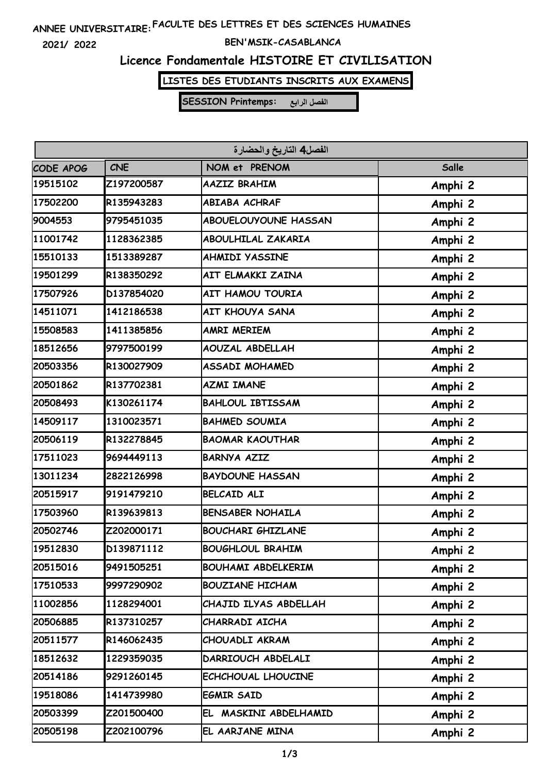## **FACULTE DES LETTRES ET DES SCIENCES HUMAINES ANNEE UNIVERSITAIRE:**

**2021/ 2022**

#### **BEN'MSIK-CASABLANCA**

### **Licence Fondamentale HISTOIRE ET CIVILISATION**

# **LISTES DES ETUDIANTS INSCRITS AUX EXAMENS**

**SESSION Printemps: الفصل الرابع**

| الفصل4 التاريخ والحضارة |            |                             |         |  |  |  |
|-------------------------|------------|-----------------------------|---------|--|--|--|
| CODE APOG               | <b>CNE</b> | NOM et PRENOM               | Salle   |  |  |  |
| 19515102                | Z197200587 | <b>AAZIZ BRAHIM</b>         | Amphi 2 |  |  |  |
| 17502200                | R135943283 | <b>ABIABA ACHRAF</b>        | Amphi 2 |  |  |  |
| 9004553                 | 9795451035 | <b>ABOUELOUYOUNE HASSAN</b> | Amphi 2 |  |  |  |
| 11001742                | 1128362385 | <b>ABOULHILAL ZAKARIA</b>   | Amphi 2 |  |  |  |
| 15510133                | 1513389287 | <b>AHMIDI YASSINE</b>       | Amphi 2 |  |  |  |
| 19501299                | R138350292 | AIT ELMAKKI ZAINA           | Amphi 2 |  |  |  |
| 17507926                | D137854020 | <b>AIT HAMOU TOURIA</b>     | Amphi 2 |  |  |  |
| 14511071                | 1412186538 | AIT KHOUYA SANA             | Amphi 2 |  |  |  |
| 15508583                | 1411385856 | AMRI MERIEM                 | Amphi 2 |  |  |  |
| 18512656                | 9797500199 | <b>AOUZAL ABDELLAH</b>      | Amphi 2 |  |  |  |
| 20503356                | R130027909 | <b>ASSADI MOHAMED</b>       | Amphi 2 |  |  |  |
| 20501862                | R137702381 | <b>AZMI IMANE</b>           | Amphi 2 |  |  |  |
| 20508493                | K130261174 | <b>BAHLOUL IBTISSAM</b>     | Amphi 2 |  |  |  |
| 14509117                | 1310023571 | <b>BAHMED SOUMIA</b>        | Amphi 2 |  |  |  |
| 20506119                | R132278845 | <b>BAOMAR KAOUTHAR</b>      | Amphi 2 |  |  |  |
| 17511023                | 9694449113 | <b>BARNYA AZIZ</b>          | Amphi 2 |  |  |  |
| 13011234                | 2822126998 | <b>BAYDOUNE HASSAN</b>      | Amphi 2 |  |  |  |
| 20515917                | 9191479210 | <b>BELCAID ALI</b>          | Amphi 2 |  |  |  |
| 17503960                | R139639813 | <b>BENSABER NOHAILA</b>     | Amphi 2 |  |  |  |
| 20502746                | Z202000171 | <b>BOUCHARI GHIZLANE</b>    | Amphi 2 |  |  |  |
| 19512830                | D139871112 | <b>BOUGHLOUL BRAHIM</b>     | Amphi 2 |  |  |  |
| 20515016                | 9491505251 | <b>BOUHAMI ABDELKERIM</b>   | Amphi 2 |  |  |  |
| 17510533                | 9997290902 | <b>BOUZIANE HICHAM</b>      | Amphi 2 |  |  |  |
| 11002856                | 1128294001 | CHAJID ILYAS ABDELLAH       | Amphi 2 |  |  |  |
| 20506885                | R137310257 | CHARRADI AICHA              | Amphi 2 |  |  |  |
| 20511577                | R146062435 | CHOUADLI AKRAM              | Amphi 2 |  |  |  |
| 18512632                | 1229359035 | DARRIOUCH ABDELALI          | Amphi 2 |  |  |  |
| 20514186                | 9291260145 | ECHCHOUAL LHOUCINE          | Amphi 2 |  |  |  |
| 19518086                | 1414739980 | <b>EGMIR SAID</b>           | Amphi 2 |  |  |  |
| 20503399                | Z201500400 | EL MASKINI ABDELHAMID       | Amphi 2 |  |  |  |
| 20505198                | Z202100796 | EL AARJANE MINA             | Amphi 2 |  |  |  |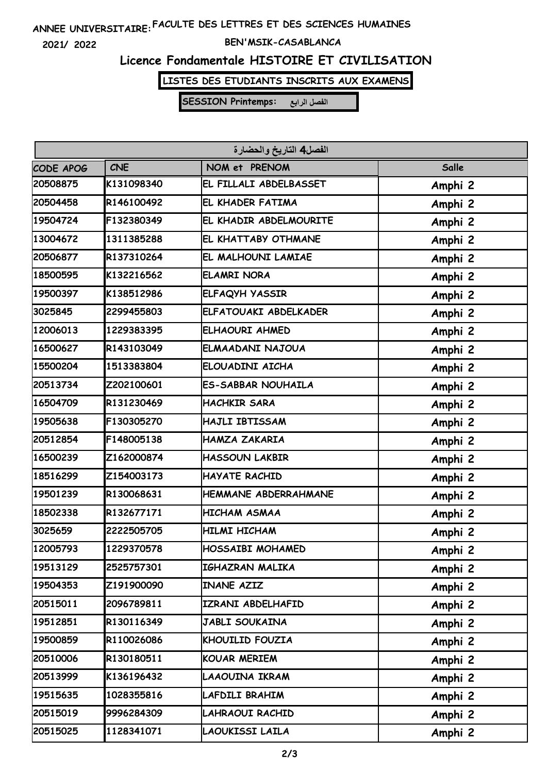## **FACULTE DES LETTRES ET DES SCIENCES HUMAINES ANNEE UNIVERSITAIRE:**

**2021/ 2022**

#### **BEN'MSIK-CASABLANCA**

### **Licence Fondamentale HISTOIRE ET CIVILISATION**

## **LISTES DES ETUDIANTS INSCRITS AUX EXAMENS**

**SESSION Printemps: الفصل الرابع**

| الفصل4 التاريخ والحضارة |            |                           |              |  |  |  |
|-------------------------|------------|---------------------------|--------------|--|--|--|
| CODE APOG               | <b>CNE</b> | NOM et PRENOM             | <b>Salle</b> |  |  |  |
| 20508875                | K131098340 | EL FILLALI ABDELBASSET    | Amphi 2      |  |  |  |
| 20504458                | R146100492 | EL KHADER FATIMA          | Amphi 2      |  |  |  |
| 19504724                | F132380349 | EL KHADIR ABDELMOURITE    | Amphi 2      |  |  |  |
| 13004672                | 1311385288 | EL KHATTABY OTHMANE       | Amphi 2      |  |  |  |
| 20506877                | R137310264 | EL MALHOUNI LAMIAE        | Amphi 2      |  |  |  |
| 18500595                | K132216562 | <b>ELAMRI NORA</b>        | Amphi 2      |  |  |  |
| 19500397                | K138512986 | ELFAQYH YASSIR            | Amphi 2      |  |  |  |
| 3025845                 | 2299455803 | ELFATOUAKI ABDELKADER     | Amphi 2      |  |  |  |
| 12006013                | 1229383395 | <b>ELHAOURI AHMED</b>     | Amphi 2      |  |  |  |
| 16500627                | R143103049 | ELMAADANI NAJOUA          | Amphi 2      |  |  |  |
| 15500204                | 1513383804 | ELOUADINI AICHA           | Amphi 2      |  |  |  |
| 20513734                | Z202100601 | <b>ES-SABBAR NOUHAILA</b> | Amphi 2      |  |  |  |
| 16504709                | R131230469 | <b>HACHKIR SARA</b>       | Amphi 2      |  |  |  |
| 19505638                | F130305270 | HAJLI IBTISSAM            | Amphi 2      |  |  |  |
| 20512854                | F148005138 | HAMZA ZAKARIA             | Amphi 2      |  |  |  |
| 16500239                | Z162000874 | <b>HASSOUN LAKBIR</b>     | Amphi 2      |  |  |  |
| 18516299                | Z154003173 | HAYATE RACHID             | Amphi 2      |  |  |  |
| 19501239                | R130068631 | HEMMANE ABDERRAHMANE      | Amphi 2      |  |  |  |
| 18502338                | R132677171 | <b>HICHAM ASMAA</b>       | Amphi 2      |  |  |  |
| 3025659                 | 2222505705 | <b>HILMI HICHAM</b>       | Amphi 2      |  |  |  |
| 12005793                | 1229370578 | <b>HOSSAIBI MOHAMED</b>   | Amphi 2      |  |  |  |
| 19513129                | 2525757301 | IGHAZRAN MALIKA           | Amphi 2      |  |  |  |
| 19504353                | Z191900090 | <b>INANE AZIZ</b>         | Amphi 2      |  |  |  |
| 20515011                | 2096789811 | IZRANI ABDELHAFID         | Amphi 2      |  |  |  |
| 19512851                | R130116349 | JABLI SOUKAINA            | Amphi 2      |  |  |  |
| 19500859                | R110026086 | KHOUILID FOUZIA           | Amphi 2      |  |  |  |
| 20510006                | R130180511 | KOUAR MERIEM              | Amphi 2      |  |  |  |
| 20513999                | K136196432 | LAAOUINA IKRAM            | Amphi 2      |  |  |  |
| 19515635                | 1028355816 | LAFDILI BRAHIM            | Amphi 2      |  |  |  |
| 20515019                | 9996284309 | LAHRAOUI RACHID           | Amphi 2      |  |  |  |
| 20515025                | 1128341071 | LAOUKISSI LAILA           | Amphi 2      |  |  |  |